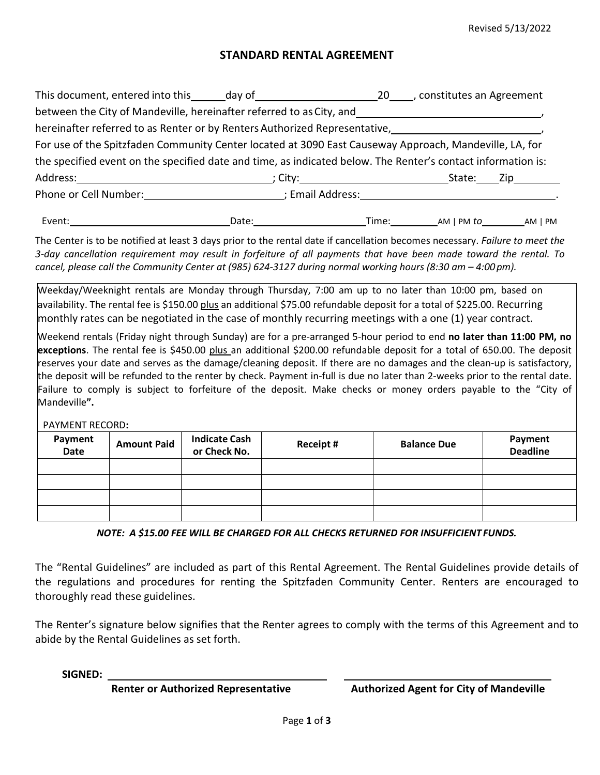Revised 5/13/2022

## **STANDARD RENTAL AGREEMENT**

| This document, entered into this day of day of the same of the constitutes an Agreement                                                                                                                                        |       |                  |            |
|--------------------------------------------------------------------------------------------------------------------------------------------------------------------------------------------------------------------------------|-------|------------------|------------|
| between the City of Mandeville, hereinafter referred to as City, and<br>                                                                                                                                                       |       |                  |            |
| hereinafter referred to as Renter or by Renters Authorized Representative,                                                                                                                                                     |       |                  |            |
| For use of the Spitzfaden Community Center located at 3090 East Causeway Approach, Mandeville, LA, for                                                                                                                         |       |                  |            |
| the specified event on the specified date and time, as indicated below. The Renter's contact information is:                                                                                                                   |       |                  |            |
|                                                                                                                                                                                                                                |       |                  | State: Zip |
| Phone or Cell Number: The contract of the contract of the contract of the contract of the contract of the contract of the contract of the contract of the contract of the contract of the contract of the contract of the cont |       | ; Email Address: |            |
| Event:                                                                                                                                                                                                                         | Date: | $\_$ Time: $\_$  | AM   PM    |

The Center is to be notified at least 3 days prior to the rental date if cancellation becomes necessary. *Failure to meet the 3-day cancellation requirement may result in forfeiture of all payments that have been made toward the rental. To cancel, please call the Community Center at (985) 624-3127 during normal working hours (8:30 am – 4:00 pm).*

Weekday/Weeknight rentals are Monday through Thursday, 7:00 am up to no later than 10:00 pm, based on availability. The rental fee is \$150.00 plus an additional \$75.00 refundable deposit for a total of \$225.00. Recurring monthly rates can be negotiated in the case of monthly recurring meetings with a one (1) year contract.

Weekend rentals (Friday night through Sunday) are for a pre-arranged 5-hour period to end **no later than 11:00 PM, no exceptions**. The rental fee is \$450.00 plus an additional \$200.00 refundable deposit for a total of 650.00. The deposit reserves your date and serves as the damage/cleaning deposit. If there are no damages and the clean-up is satisfactory, the deposit will be refunded to the renter by check. Payment in-full is due no later than 2-weeks prior to the rental date. Failure to comply is subject to forfeiture of the deposit. Make checks or money orders payable to the "City of Mandeville**".**

PAYMENT RECORD**:**

| Payment<br>Date | <b>Amount Paid</b> | <b>Indicate Cash</b><br>or Check No. | Receipt # | <b>Balance Due</b> | Payment<br><b>Deadline</b> |
|-----------------|--------------------|--------------------------------------|-----------|--------------------|----------------------------|
|                 |                    |                                      |           |                    |                            |
|                 |                    |                                      |           |                    |                            |
|                 |                    |                                      |           |                    |                            |
|                 |                    |                                      |           |                    |                            |

*NOTE: A \$15.00 FEE WILL BE CHARGED FOR ALL CHECKS RETURNED FOR INSUFFICIENT FUNDS.*

The "Rental Guidelines" are included as part of this Rental Agreement. The Rental Guidelines provide details of the regulations and procedures for renting the Spitzfaden Community Center. Renters are encouraged to thoroughly read these guidelines.

The Renter's signature below signifies that the Renter agrees to comply with the terms of this Agreement and to abide by the Rental Guidelines as set forth.

**SIGNED:** 

**Renter or Authorized Representative Authorized Agent for City of Mandeville**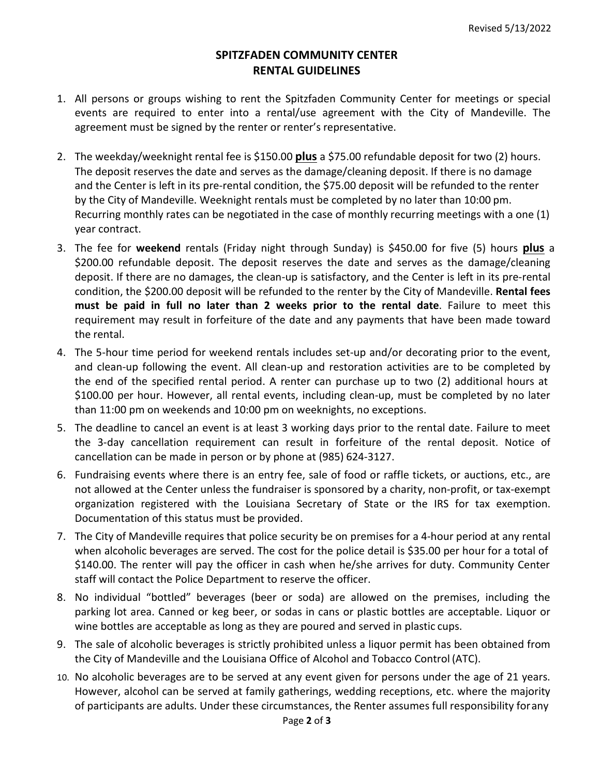## **SPITZFADEN COMMUNITY CENTER RENTAL GUIDELINES**

- 1. All persons or groups wishing to rent the Spitzfaden Community Center for meetings or special events are required to enter into a rental/use agreement with the City of Mandeville. The agreement must be signed by the renter or renter's representative.
- 2. The weekday/weeknight rental fee is \$150.00 **plus** a \$75.00 refundable deposit for two (2) hours. The deposit reserves the date and serves as the damage/cleaning deposit. If there is no damage and the Center is left in its pre-rental condition, the \$75.00 deposit will be refunded to the renter by the City of Mandeville. Weeknight rentals must be completed by no later than 10:00 pm. Recurring monthly rates can be negotiated in the case of monthly recurring meetings with a one (1) year contract.
- 3. The fee for **weekend** rentals (Friday night through Sunday) is \$450.00 for five (5) hours **plus** a \$200.00 refundable deposit. The deposit reserves the date and serves as the damage/cleaning deposit. If there are no damages, the clean-up is satisfactory, and the Center is left in its pre-rental condition, the \$200.00 deposit will be refunded to the renter by the City of Mandeville. **Rental fees must be paid in full no later than 2 weeks prior to the rental date**. Failure to meet this requirement may result in forfeiture of the date and any payments that have been made toward the rental.
- 4. The 5-hour time period for weekend rentals includes set-up and/or decorating prior to the event, and clean-up following the event. All clean-up and restoration activities are to be completed by the end of the specified rental period. A renter can purchase up to two (2) additional hours at \$100.00 per hour. However, all rental events, including clean-up, must be completed by no later than 11:00 pm on weekends and 10:00 pm on weeknights, no exceptions.
- 5. The deadline to cancel an event is at least 3 working days prior to the rental date. Failure to meet the 3-day cancellation requirement can result in forfeiture of the rental deposit. Notice of cancellation can be made in person or by phone at (985) 624-3127.
- 6. Fundraising events where there is an entry fee, sale of food or raffle tickets, or auctions, etc., are not allowed at the Center unless the fundraiser is sponsored by a charity, non-profit, or tax-exempt organization registered with the Louisiana Secretary of State or the IRS for tax exemption. Documentation of this status must be provided.
- 7. The City of Mandeville requires that police security be on premises for a 4-hour period at any rental when alcoholic beverages are served. The cost for the police detail is \$35.00 per hour for a total of \$140.00. The renter will pay the officer in cash when he/she arrives for duty. Community Center staff will contact the Police Department to reserve the officer.
- 8. No individual "bottled" beverages (beer or soda) are allowed on the premises, including the parking lot area. Canned or keg beer, or sodas in cans or plastic bottles are acceptable. Liquor or wine bottles are acceptable as long as they are poured and served in plastic cups.
- 9. The sale of alcoholic beverages is strictly prohibited unless a liquor permit has been obtained from the City of Mandeville and the Louisiana Office of Alcohol and Tobacco Control (ATC).
- 10. No alcoholic beverages are to be served at any event given for persons under the age of 21 years. However, alcohol can be served at family gatherings, wedding receptions, etc. where the majority of participants are adults. Under these circumstances, the Renter assumes full responsibility forany